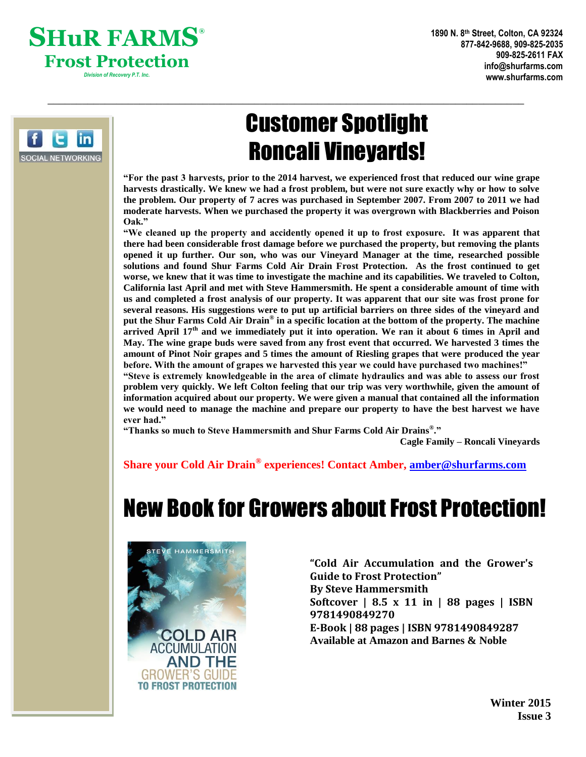



# Customer Spotlight Roncali Vineyards!

 $\_$  , and the set of the set of the set of the set of the set of the set of the set of the set of the set of the set of the set of the set of the set of the set of the set of the set of the set of the set of the set of th

**"For the past 3 harvests, prior to the 2014 harvest, we experienced frost that reduced our wine grape harvests drastically. We knew we had a frost problem, but were not sure exactly why or how to solve the problem. Our property of 7 acres was purchased in September 2007. From 2007 to 2011 we had moderate harvests. When we purchased the property it was overgrown with Blackberries and Poison Oak."**

**"We cleaned up the property and accidently opened it up to frost exposure. It was apparent that there had been considerable frost damage before we purchased the property, but removing the plants opened it up further. Our son, who was our Vineyard Manager at the time, researched possible solutions and found Shur Farms Cold Air Drain Frost Protection. As the frost continued to get worse, we knew that it was time to investigate the machine and its capabilities. We traveled to Colton, California last April and met with Steve Hammersmith. He spent a considerable amount of time with us and completed a frost analysis of our property. It was apparent that our site was frost prone for several reasons. His suggestions were to put up artificial barriers on three sides of the vineyard and put the Shur Farms Cold Air Drain® in a specific location at the bottom of the property. The machine arrived April 17th and we immediately put it into operation. We ran it about 6 times in April and May. The wine grape buds were saved from any frost event that occurred. We harvested 3 times the amount of Pinot Noir grapes and 5 times the amount of Riesling grapes that were produced the year before. With the amount of grapes we harvested this year we could have purchased two machines!"**

**"Steve is extremely knowledgeable in the area of climate hydraulics and was able to assess our frost problem very quickly. We left Colton feeling that our trip was very worthwhile, given the amount of information acquired about our property. We were given a manual that contained all the information we would need to manage the machine and prepare our property to have the best harvest we have ever had."**

**"Thanks so much to Steve Hammersmith and Shur Farms Cold Air Drains® ."**

**Cagle Family – Roncali Vineyards**

**Share your Cold Air Drain® experiences! Contact Amber, [amber@shurfarms.com](mailto:amber@shurfarms.com)**

# New Book for Growers about Frost Protection!



**"Cold Air Accumulation and the Grower's Guide to Frost Protection" By Steve Hammersmith Softcover | 8.5 x 11 in | 88 pages | ISBN 9781490849270 E-Book | 88 pages | ISBN 9781490849287 Available at Amazon and Barnes & Noble**